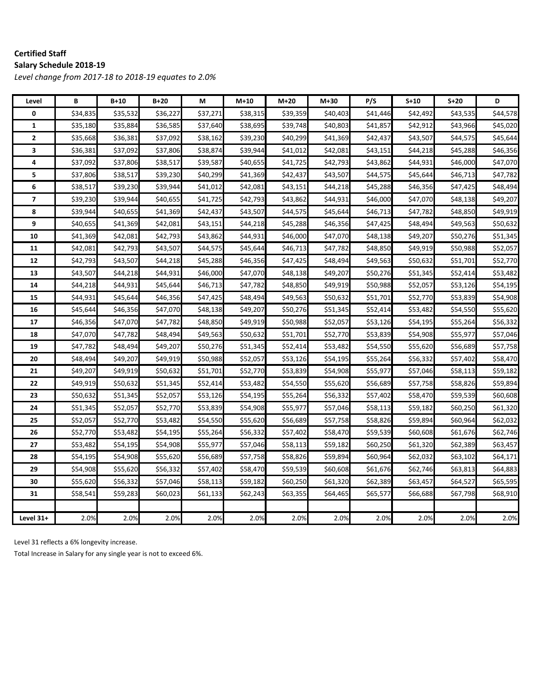#### **Certified Staff Salary Schedule 2018‐19**

*Level change from 2017‐18 to 2018‐19 equates to 2.0%*

| Level                   | B        | $B+10$   | $B+20$   | М        | $M+10$   | $M+20$   | $M+30$   | P/S      | $S+10$   | $S+20$   | D        |
|-------------------------|----------|----------|----------|----------|----------|----------|----------|----------|----------|----------|----------|
| 0                       | \$34,835 | \$35,532 | \$36,227 | \$37,271 | \$38,315 | \$39,359 | \$40,403 | \$41,446 | \$42,492 | \$43,535 | \$44,578 |
| 1                       | \$35,180 | \$35,884 | \$36,585 | \$37,640 | \$38,695 | \$39,748 | \$40,803 | \$41,857 | \$42,912 | \$43,966 | \$45,020 |
| $\mathbf{2}$            | \$35,668 | \$36,381 | \$37,092 | \$38,162 | \$39,230 | \$40,299 | \$41,369 | \$42,437 | \$43,507 | \$44,575 | \$45,644 |
| 3                       | \$36,381 | \$37,092 | \$37,806 | \$38,874 | \$39,944 | \$41,012 | \$42,081 | \$43,151 | \$44,218 | \$45,288 | \$46,356 |
| 4                       | \$37,092 | \$37,806 | \$38,517 | \$39,587 | \$40,655 | \$41,725 | \$42,793 | \$43,862 | \$44,931 | \$46,000 | \$47,070 |
| 5                       | \$37,806 | \$38,517 | \$39,230 | \$40,299 | \$41,369 | \$42,437 | \$43,507 | \$44,575 | \$45,644 | \$46,713 | \$47,782 |
| 6                       | \$38,517 | \$39,230 | \$39,944 | \$41,012 | \$42,081 | \$43,151 | \$44,218 | \$45,288 | \$46,356 | \$47,425 | \$48,494 |
| $\overline{\mathbf{z}}$ | \$39,230 | \$39,944 | \$40,655 | \$41,725 | \$42,793 | \$43,862 | \$44,931 | \$46,000 | \$47,070 | \$48,138 | \$49,207 |
| 8                       | \$39,944 | \$40,655 | \$41,369 | \$42,437 | \$43,507 | \$44,575 | \$45,644 | \$46,713 | \$47,782 | \$48,850 | \$49,919 |
| 9                       | \$40,655 | \$41,369 | \$42,081 | \$43,151 | \$44,218 | \$45,288 | \$46,356 | \$47,425 | \$48,494 | \$49,563 | \$50,632 |
| 10                      | \$41,369 | \$42,081 | \$42,793 | \$43,862 | \$44,931 | \$46,000 | \$47,070 | \$48,138 | \$49,207 | \$50,276 | \$51,345 |
| 11                      | \$42,081 | \$42,793 | \$43,507 | \$44,575 | \$45,644 | \$46,713 | \$47,782 | \$48,850 | \$49,919 | \$50,988 | \$52,057 |
| 12                      | \$42,793 | \$43,507 | \$44,218 | \$45,288 | \$46,356 | \$47,425 | \$48,494 | \$49,563 | \$50,632 | \$51,701 | \$52,770 |
| 13                      | \$43,507 | \$44,218 | \$44,931 | \$46,000 | \$47,070 | \$48,138 | \$49,207 | \$50,276 | \$51,345 | \$52,414 | \$53,482 |
| 14                      | \$44,218 | \$44,931 | \$45,644 | \$46,713 | \$47,782 | \$48,850 | \$49,919 | \$50,988 | \$52,057 | \$53,126 | \$54,195 |
| 15                      | \$44,931 | \$45,644 | \$46,356 | \$47,425 | \$48,494 | \$49,563 | \$50,632 | \$51,701 | \$52,770 | \$53,839 | \$54,908 |
| 16                      | \$45,644 | \$46,356 | \$47,070 | \$48,138 | \$49,207 | \$50,276 | \$51,345 | \$52,414 | \$53,482 | \$54,550 | \$55,620 |
| 17                      | \$46,356 | \$47,070 | \$47,782 | \$48,850 | \$49,919 | \$50,988 | \$52,057 | \$53,126 | \$54,195 | \$55,264 | \$56,332 |
| 18                      | \$47,070 | \$47,782 | \$48,494 | \$49,563 | \$50,632 | \$51,701 | \$52,770 | \$53,839 | \$54,908 | \$55,977 | \$57,046 |
| 19                      | \$47,782 | \$48,494 | \$49,207 | \$50,276 | \$51,345 | \$52,414 | \$53,482 | \$54,550 | \$55,620 | \$56,689 | \$57,758 |
| 20                      | \$48,494 | \$49,207 | \$49,919 | \$50,988 | \$52,057 | \$53,126 | \$54,195 | \$55,264 | \$56,332 | \$57,402 | \$58,470 |
| 21                      | \$49,207 | \$49,919 | \$50,632 | \$51,701 | \$52,770 | \$53,839 | \$54,908 | \$55,977 | \$57,046 | \$58,113 | \$59,182 |
| 22                      | \$49,919 | \$50,632 | \$51,345 | \$52,414 | \$53,482 | \$54,550 | \$55,620 | \$56,689 | \$57,758 | \$58,826 | \$59,894 |
| 23                      | \$50,632 | \$51,345 | \$52,057 | \$53,126 | \$54,195 | \$55,264 | \$56,332 | \$57,402 | \$58,470 | \$59,539 | \$60,608 |
| 24                      | \$51,345 | \$52,057 | \$52,770 | \$53,839 | \$54,908 | \$55,977 | \$57,046 | \$58,113 | \$59,182 | \$60,250 | \$61,320 |
| 25                      | \$52,057 | \$52,770 | \$53,482 | \$54,550 | \$55,620 | \$56,689 | \$57,758 | \$58,826 | \$59,894 | \$60,964 | \$62,032 |
| 26                      | \$52,770 | \$53,482 | \$54,195 | \$55,264 | \$56,332 | \$57,402 | \$58,470 | \$59,539 | \$60,608 | \$61,676 | \$62,746 |
| 27                      | \$53,482 | \$54,195 | \$54,908 | \$55,977 | \$57,046 | \$58,113 | \$59,182 | \$60,250 | \$61,320 | \$62,389 | \$63,457 |
| 28                      | \$54,195 | \$54,908 | \$55,620 | \$56,689 | \$57,758 | \$58,826 | \$59,894 | \$60,964 | \$62,032 | \$63,102 | \$64,171 |
| 29                      | \$54,908 | \$55,620 | \$56,332 | \$57,402 | \$58,470 | \$59,539 | \$60,608 | \$61,676 | \$62,746 | \$63,813 | \$64,883 |
| 30                      | \$55,620 | \$56,332 | \$57,046 | \$58,113 | \$59,182 | \$60,250 | \$61,320 | \$62,389 | \$63,457 | \$64,527 | \$65,595 |
| 31                      | \$58,541 | \$59,283 | \$60,023 | \$61,133 | \$62,243 | \$63,355 | \$64,465 | \$65,577 | \$66,688 | \$67,798 | \$68,910 |
|                         |          |          |          |          |          |          |          |          |          |          |          |
| Level 31+               | 2.0%     | 2.0%     | 2.0%     | 2.0%     | 2.0%     | 2.0%     | 2.0%     | 2.0%     | 2.0%     | 2.0%     | 2.0%     |

Level 31 reflects a 6% longevity increase.

Total Increase in Salary for any single year is not to exceed 6%.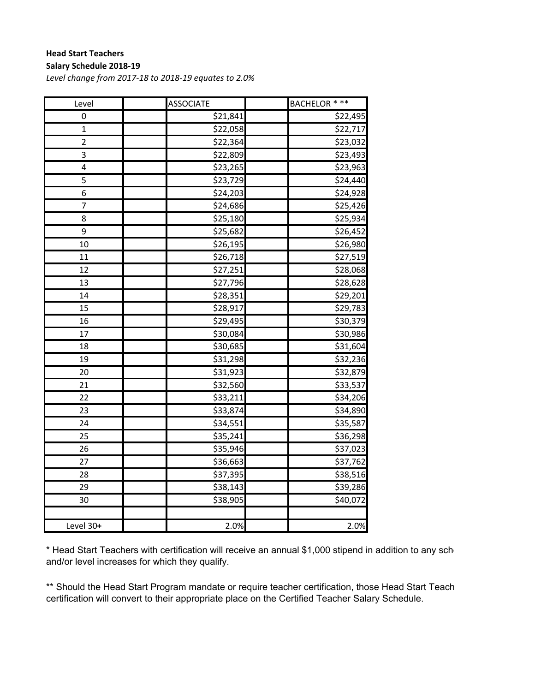#### **Head Start Teachers Salary Schedule 2018‐19**

*Level change from 2017‐18 to 2018‐19 equates to 2.0%*

| Level                   | <b>ASSOCIATE</b>      | <b>BACHELOR * **</b> |
|-------------------------|-----------------------|----------------------|
| 0                       | \$21,841              | \$22,495             |
| $\overline{1}$          | \$22,058              | \$22,717             |
| $\overline{\mathbf{c}}$ | \$22,364              | \$23,032             |
| 3                       | \$22,809              | \$23,493             |
| 4                       | \$23,265              | \$23,963             |
| 5                       | \$23,729              | \$24,440             |
| 6                       | \$24,203              | \$24,928             |
| 7                       | \$24,686              | \$25,426             |
| 8                       | \$25,180              | \$25,934             |
| 9                       | \$25,682              | \$26,452             |
| 10                      | $\frac{1}{226}$ , 195 | \$26,980             |
| 11                      | \$26,718              | \$27,519             |
| 12                      | $\frac{27}{251}$      | \$28,068             |
| 13                      | \$27,796              | \$28,628             |
| 14                      | \$28,351              | \$29,201             |
| 15                      | \$28,917              | \$29,783             |
| 16                      | \$29,495              | \$30,379             |
| 17                      | \$30,084              | \$30,986             |
| 18                      | \$30,685              | \$31,604             |
| 19                      | \$31,298              | \$32,236             |
| 20                      | \$31,923              | \$32,879             |
| 21                      | \$32,560              | \$33,537             |
| 22                      | \$33,211              | \$34,206             |
| 23                      | \$33,874              | \$34,890             |
| 24                      | \$34,551              | \$35,587             |
| 25                      | \$35,241              | \$36,298             |
| 26                      | \$35,946              | \$37,023             |
| 27                      | \$36,663              | \$37,762             |
| 28                      | \$37,395              | \$38,516             |
| 29                      | \$38,143              | \$39,286             |
| 30                      | \$38,905              | \$40,072             |
|                         |                       |                      |
| Level 30+               | 2.0%                  | 2.0%                 |

\* Head Start Teachers with certification will receive an annual \$1,000 stipend in addition to any sche and/or level increases for which they qualify.

\*\* Should the Head Start Program mandate or require teacher certification, those Head Start Teach certification will convert to their appropriate place on the Certified Teacher Salary Schedule.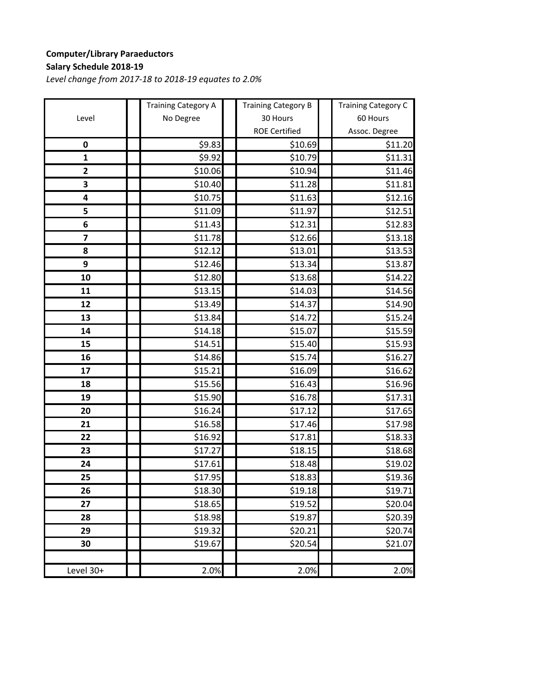## **Computer/Library Paraeductors Salary Schedule 2018‐19**

|                         | <b>Training Category A</b> | <b>Training Category B</b> | <b>Training Category C</b> |
|-------------------------|----------------------------|----------------------------|----------------------------|
| Level                   | No Degree                  | 30 Hours                   | 60 Hours                   |
|                         |                            | <b>ROE Certified</b>       | Assoc. Degree              |
| $\pmb{0}$               | \$9.83                     | \$10.69                    | \$11.20                    |
| $\mathbf{1}$            | \$9.92                     | \$10.79                    | \$11.31                    |
| $\overline{\mathbf{c}}$ | \$10.06                    | \$10.94                    | \$11.46                    |
| 3                       | \$10.40                    | \$11.28                    | \$11.81                    |
| 4                       | \$10.75                    | \$11.63                    | \$12.16                    |
| 5                       | \$11.09                    | \$11.97                    | \$12.51                    |
| 6                       | \$11.43                    | \$12.31                    | \$12.83                    |
| $\overline{\mathbf{z}}$ | \$11.78                    | \$12.66                    | \$13.18                    |
| 8                       | \$12.12                    | \$13.01                    | \$13.53                    |
| 9                       | \$12.46                    | \$13.34                    | \$13.87                    |
| 10                      | \$12.80                    | \$13.68                    | \$14.22                    |
| 11                      | \$13.15                    | \$14.03                    | \$14.56                    |
| 12                      | \$13.49                    | \$14.37                    | \$14.90                    |
| 13                      | \$13.84                    | \$14.72                    | \$15.24                    |
| 14                      | \$14.18                    | \$15.07                    | \$15.59                    |
| 15                      | \$14.51                    | \$15.40                    | \$15.93                    |
| 16                      | \$14.86                    | \$15.74                    | \$16.27                    |
| 17                      | \$15.21                    | \$16.09                    | \$16.62                    |
| 18                      | \$15.56                    | \$16.43                    | \$16.96                    |
| 19                      | \$15.90                    | \$16.78                    | \$17.31                    |
| 20                      | \$16.24                    | \$17.12                    | \$17.65                    |
| 21                      | \$16.58                    | \$17.46                    | \$17.98                    |
| 22                      | \$16.92                    | \$17.81                    | \$18.33                    |
| 23                      | \$17.27                    | \$18.15                    | \$18.68                    |
| 24                      | \$17.61                    | \$18.48                    | \$19.02                    |
| 25                      | \$17.95                    | \$18.83                    | \$19.36                    |
| 26                      | \$18.30                    | \$19.18                    | <b>\$19.71</b>             |
| 27                      | \$18.65                    | \$19.52                    | \$20.04                    |
| 28                      | \$18.98                    | \$19.87                    | \$20.39                    |
| 29                      | \$19.32                    | \$20.21                    | \$20.74                    |
| 30                      | \$19.67                    | \$20.54                    | \$21.07                    |
|                         |                            |                            |                            |
| Level 30+               | 2.0%                       | 2.0%                       | 2.0%                       |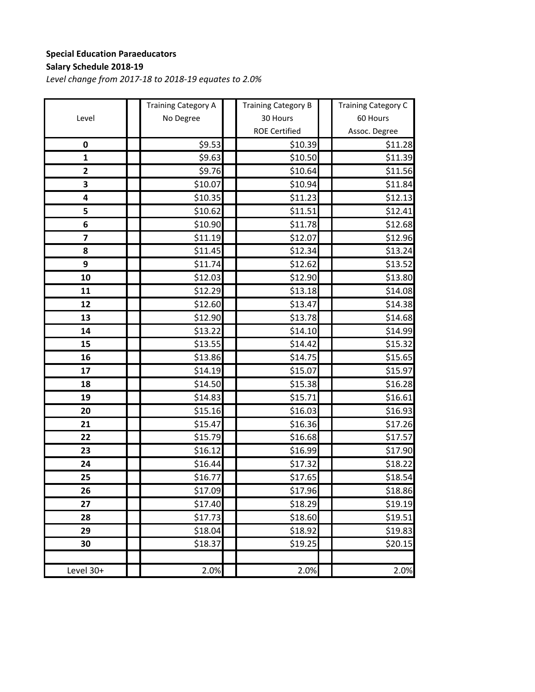## **Special Education Paraeducators Salary Schedule 2018‐19**

|                         | <b>Training Category A</b> | <b>Training Category B</b> | <b>Training Category C</b> |
|-------------------------|----------------------------|----------------------------|----------------------------|
| Level                   | No Degree                  | 30 Hours                   | 60 Hours                   |
|                         |                            | <b>ROE Certified</b>       | Assoc. Degree              |
| $\pmb{0}$               | \$9.53                     | \$10.39                    | \$11.28                    |
| $\mathbf{1}$            | \$9.63                     | \$10.50                    | \$11.39                    |
| $\overline{\mathbf{c}}$ | \$9.76                     | \$10.64                    | \$11.56                    |
| 3                       | \$10.07                    | \$10.94                    | \$11.84                    |
| 4                       | \$10.35                    | \$11.23                    | \$12.13                    |
| 5                       | \$10.62                    | \$11.51                    | \$12.41                    |
| 6                       | \$10.90                    | \$11.78                    | \$12.68                    |
| $\overline{\mathbf{z}}$ | \$11.19                    | \$12.07                    | \$12.96                    |
| 8                       | \$11.45                    | \$12.34                    | \$13.24                    |
| 9                       | \$11.74                    | \$12.62                    | \$13.52                    |
| 10                      | \$12.03                    | \$12.90                    | \$13.80                    |
| 11                      | \$12.29                    | \$13.18                    | \$14.08                    |
| 12                      | \$12.60                    | \$13.47                    | \$14.38                    |
| 13                      | \$12.90                    | \$13.78                    | \$14.68                    |
| 14                      | \$13.22                    | \$14.10                    | \$14.99                    |
| 15                      | \$13.55                    | \$14.42                    | \$15.32                    |
| 16                      | \$13.86                    | \$14.75                    | \$15.65                    |
| 17                      | \$14.19                    | \$15.07                    | \$15.97                    |
| 18                      | \$14.50                    | \$15.38                    | \$16.28                    |
| 19                      | \$14.83                    | \$15.71                    | \$16.61                    |
| 20                      | \$15.16                    | \$16.03                    | \$16.93                    |
| 21                      | \$15.47                    | \$16.36                    | \$17.26                    |
| 22                      | \$15.79                    | \$16.68                    | \$17.57                    |
| 23                      | \$16.12                    | \$16.99                    | \$17.90                    |
| 24                      | \$16.44                    | \$17.32                    | \$18.22                    |
| 25                      | \$16.77                    | \$17.65                    | \$18.54                    |
| 26                      | \$17.09                    | \$17.96                    | \$18.86                    |
| 27                      | \$17.40                    | \$18.29                    | \$19.19                    |
| 28                      | \$17.73                    | \$18.60                    | \$19.51                    |
| 29                      | \$18.04                    | \$18.92                    | \$19.83                    |
| 30                      | \$18.37                    | \$19.25                    | \$20.15                    |
|                         |                            |                            |                            |
| Level 30+               | 2.0%                       | 2.0%                       | 2.0%                       |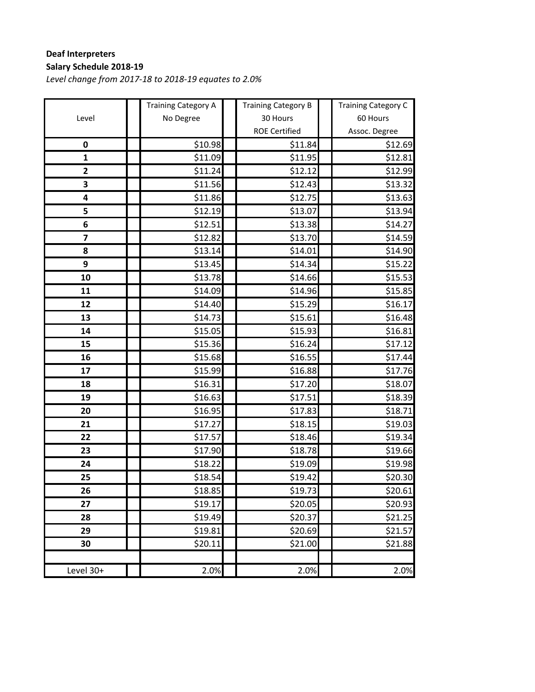## **Deaf Interpreters Salary Schedule 2018‐19**

|                         | <b>Training Category A</b> | <b>Training Category B</b> | <b>Training Category C</b> |
|-------------------------|----------------------------|----------------------------|----------------------------|
| Level                   | No Degree                  | 30 Hours                   | 60 Hours                   |
|                         |                            | <b>ROE Certified</b>       | Assoc. Degree              |
| $\pmb{0}$               | \$10.98                    | \$11.84                    | \$12.69                    |
| $\mathbf{1}$            | \$11.09                    | \$11.95                    | \$12.81                    |
| $\overline{\mathbf{c}}$ | \$11.24                    | \$12.12                    | \$12.99                    |
| 3                       | \$11.56                    | \$12.43                    | \$13.32                    |
| 4                       | \$11.86                    | \$12.75                    | \$13.63                    |
| 5                       | \$12.19                    | \$13.07                    | \$13.94                    |
| 6                       | \$12.51                    | \$13.38                    | \$14.27                    |
| $\overline{\mathbf{z}}$ | \$12.82                    | \$13.70                    | \$14.59                    |
| 8                       | \$13.14                    | \$14.01                    | \$14.90                    |
| 9                       | \$13.45                    | \$14.34                    | \$15.22                    |
| 10                      | \$13.78                    | \$14.66                    | \$15.53                    |
| 11                      | \$14.09                    | \$14.96                    | \$15.85                    |
| 12                      | \$14.40                    | \$15.29                    | \$16.17                    |
| 13                      | \$14.73                    | \$15.61                    | \$16.48                    |
| 14                      | \$15.05                    | \$15.93                    | \$16.81                    |
| 15                      | \$15.36                    | \$16.24                    | \$17.12                    |
| 16                      | \$15.68                    | \$16.55                    | \$17.44                    |
| 17                      | \$15.99                    | \$16.88                    | \$17.76                    |
| 18                      | \$16.31                    | \$17.20                    | \$18.07                    |
| 19                      | \$16.63                    | \$17.51                    | \$18.39                    |
| 20                      | \$16.95                    | \$17.83                    | \$18.71                    |
| 21                      | \$17.27                    | \$18.15                    | \$19.03                    |
| 22                      | \$17.57                    | \$18.46                    | \$19.34                    |
| 23                      | \$17.90                    | \$18.78                    | \$19.66                    |
| 24                      | \$18.22                    | \$19.09                    | \$19.98                    |
| 25                      | \$18.54                    | \$19.42                    | \$20.30                    |
| 26                      | \$18.85                    | <b>\$19.73</b>             | <b>\$20.61</b>             |
| 27                      | \$19.17                    | \$20.05                    | \$20.93                    |
| 28                      | \$19.49                    | \$20.37                    | \$21.25                    |
| 29                      | \$19.81                    | \$20.69                    | \$21.57                    |
| 30                      | \$20.11                    | \$21.00                    | \$21.88                    |
|                         |                            |                            |                            |
| Level 30+               | 2.0%                       | 2.0%                       | 2.0%                       |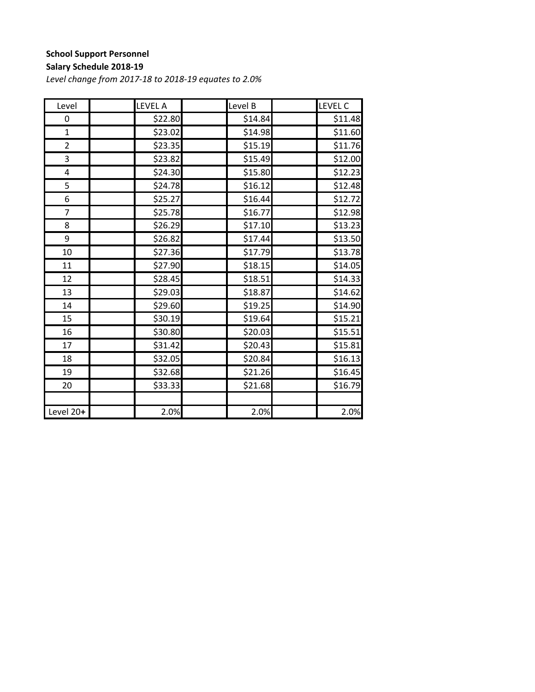## **School Support Personnel**

#### **Salary Schedule 2018‐19**

| Level          | <b>LEVEL A</b>      | Level B | LEVEL C             |
|----------------|---------------------|---------|---------------------|
| 0              | \$22.80             | \$14.84 | \$11.48             |
| $\mathbf{1}$   | \$23.02             | \$14.98 | \$11.60             |
| $\overline{2}$ | \$23.35             | \$15.19 | \$11.76             |
| 3              | \$23.82             | \$15.49 | \$12.00             |
| 4              | \$24.30             | \$15.80 | \$12.23             |
| 5              | \$24.78             | \$16.12 | \$12.48             |
| 6              | $$25.\overline{27}$ | \$16.44 | \$12.72             |
| $\overline{7}$ | \$25.78             | \$16.77 | \$12.98             |
| 8              | \$26.29             | \$17.10 | $$13.\overline{23}$ |
| 9              | \$26.82             | \$17.44 | \$13.50             |
| 10             | \$27.36             | \$17.79 | \$13.78             |
| 11             | \$27.90             | \$18.15 | \$14.05             |
| 12             | \$28.45             | \$18.51 | \$14.33             |
| 13             | \$29.03             | \$18.87 | \$14.62             |
| 14             | \$29.60             | \$19.25 | \$14.90             |
| 15             | \$30.19             | \$19.64 | \$15.21             |
| 16             | \$30.80             | \$20.03 | \$15.51             |
| 17             | \$31.42             | \$20.43 | \$15.81             |
| 18             | \$32.05             | \$20.84 | \$16.13             |
| 19             | \$32.68             | \$21.26 | $\overline{$}16.45$ |
| 20             | \$33.33             | \$21.68 | \$16.79             |
|                |                     |         |                     |
| Level 20+      | 2.0%                | 2.0%    | 2.0%                |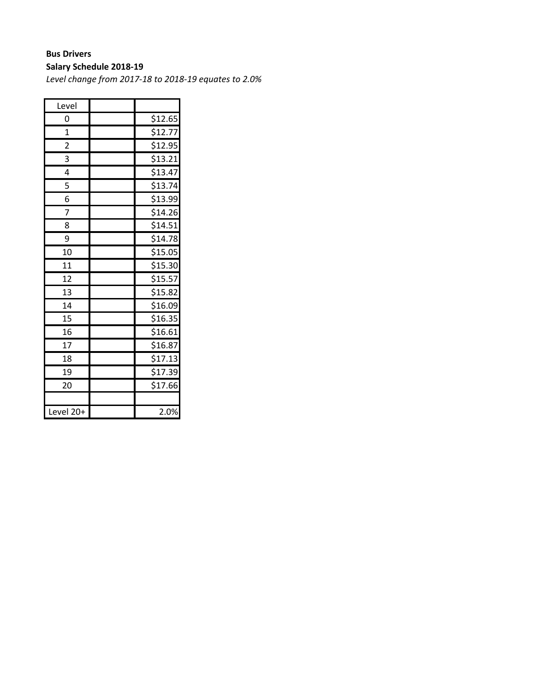# **Bus Drivers**

**Salary Schedule 2018‐19**

| Level                   |         |
|-------------------------|---------|
| 0                       | \$12.65 |
| $\overline{1}$          | \$12.77 |
| $\overline{\mathbf{c}}$ | \$12.95 |
| 3                       | \$13.21 |
| 4                       | \$13.47 |
| 5                       | \$13.74 |
| 6                       | \$13.99 |
| 7                       | \$14.26 |
| 8                       | \$14.51 |
| 9                       | \$14.78 |
| 10                      | \$15.05 |
| 11                      | \$15.30 |
| 12                      | \$15.57 |
| 13                      | \$15.82 |
| 14                      | \$16.09 |
| 15                      | \$16.35 |
| 16                      | \$16.61 |
| 17                      | \$16.87 |
| 18                      | \$17.13 |
| 19                      | \$17.39 |
| 20                      | \$17.66 |
|                         |         |
| Level 20+               | 2.0%    |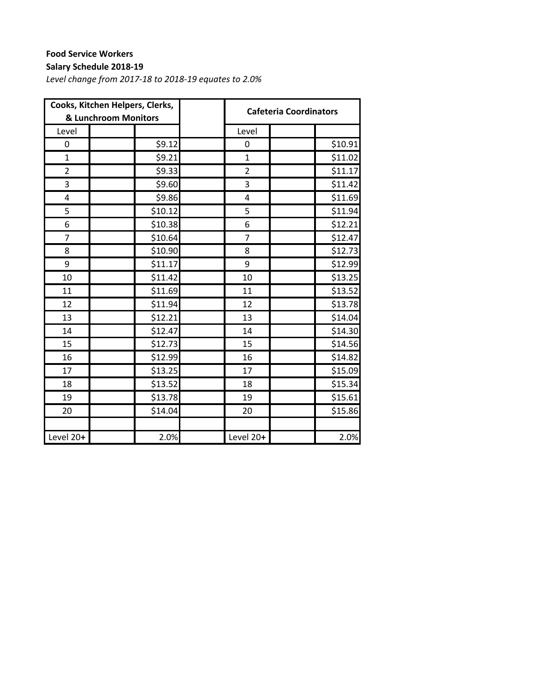## **Food Service Workers**

### **Salary Schedule 2018‐19**

| Cooks, Kitchen Helpers, Clerks,<br>& Lunchroom Monitors |         |                         | <b>Cafeteria Coordinators</b> |
|---------------------------------------------------------|---------|-------------------------|-------------------------------|
| Level                                                   |         | Level                   |                               |
| 0                                                       | \$9.12  | 0                       | \$10.91                       |
| $\mathbf{1}$                                            | \$9.21  | $\mathbf{1}$            | \$11.02                       |
| $\overline{2}$                                          | \$9.33  | $\overline{2}$          | \$11.17                       |
| 3                                                       | \$9.60  | 3                       | \$11.42                       |
| 4                                                       | \$9.86  | $\overline{\mathbf{4}}$ | \$11.69                       |
| 5                                                       | \$10.12 | 5                       | \$11.94                       |
| 6                                                       | \$10.38 | 6                       | \$12.21                       |
| $\overline{7}$                                          | \$10.64 | 7                       | \$12.47                       |
| 8                                                       | \$10.90 | 8                       | \$12.73                       |
| 9                                                       | \$11.17 | 9                       | \$12.99                       |
| 10                                                      | \$11.42 | 10                      | \$13.25                       |
| 11                                                      | \$11.69 | 11                      | \$13.52                       |
| 12                                                      | \$11.94 | 12                      | \$13.78                       |
| 13                                                      | \$12.21 | 13                      | \$14.04                       |
| 14                                                      | \$12.47 | 14                      | \$14.30                       |
| 15                                                      | \$12.73 | 15                      | \$14.56                       |
| 16                                                      | \$12.99 | 16                      | \$14.82                       |
| 17                                                      | \$13.25 | 17                      | \$15.09                       |
| 18                                                      | \$13.52 | 18                      | \$15.34                       |
| 19                                                      | \$13.78 | 19                      | \$15.61                       |
| 20                                                      | \$14.04 | 20                      | \$15.86                       |
|                                                         |         |                         |                               |
| Level 20+                                               | 2.0%    | Level 20+               | 2.0%                          |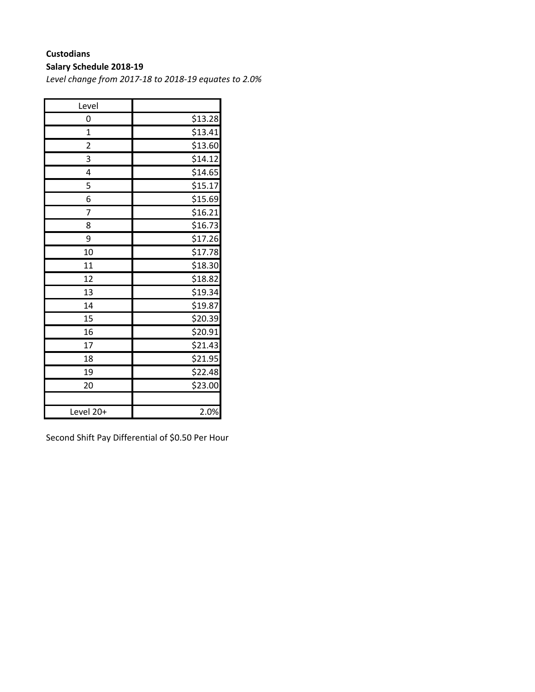## **Custodians**

### **Salary Schedule 2018‐19**

*Level change from 2017‐18 to 2018‐19 equates to 2.0%*

| Level                   |                     |
|-------------------------|---------------------|
| 0                       | \$13.28             |
| $\overline{1}$          | \$13.41             |
| $\overline{\mathbf{c}}$ | \$13.60             |
| 3                       | \$14.12             |
| 4                       | \$14.65             |
| 5                       | $\overline{$}15.17$ |
| 6                       | \$15.69             |
| 7                       | \$16.21             |
| 8                       | \$16.73             |
| 9                       | \$17.26             |
| 10                      | \$17.78             |
| 11                      | \$18.30             |
| 12                      | \$18.82             |
| 13                      | \$19.34             |
| 14                      | \$19.87             |
| 15                      | \$20.39             |
| 16                      | \$20.91             |
| 17                      | \$21.43             |
| 18                      | \$21.95             |
| 19                      | \$22.48             |
| 20                      | \$23.00             |
|                         |                     |
| Level 20+               | 2.0%                |

Second Shift Pay Differential of \$0.50 Per Hour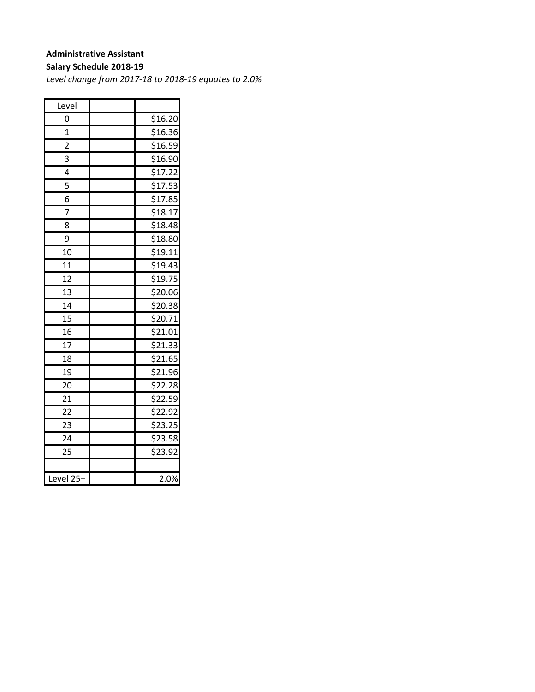### **Administrative Assistant**

#### **Salary Schedule 2018‐19**

| Level           |         |
|-----------------|---------|
| 0               | \$16.20 |
| 1               | \$16.36 |
| 2               | \$16.59 |
| 3               | \$16.90 |
| 4               | \$17.22 |
| 5               | \$17.53 |
| 6               | \$17.85 |
| 7               | \$18.17 |
| 8               | \$18.48 |
| 9               | \$18.80 |
| 10              | \$19.11 |
| 11              | \$19.43 |
| 12              | \$19.75 |
| 13              | \$20.06 |
| 14              | \$20.38 |
| 15              | \$20.71 |
| 16              | \$21.01 |
| $\overline{17}$ | \$21.33 |
| 18              | \$21.65 |
| 19              | \$21.96 |
| 20              | \$22.28 |
| 21              | \$22.59 |
| $\overline{22}$ | \$22.92 |
| 23              | \$23.25 |
| 24              | \$23.58 |
| 25              | \$23.92 |
|                 |         |
| Level 25+       | 2.0%    |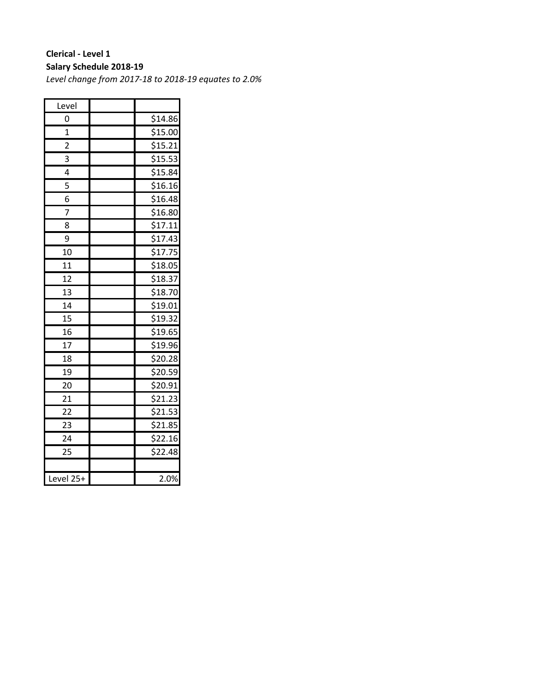### **Clerical ‐ Level 1 Salary Schedule 2018‐19**

| Level           |         |
|-----------------|---------|
| 0               | \$14.86 |
| $\overline{1}$  | \$15.00 |
| $\overline{c}$  | \$15.21 |
| 3               | \$15.53 |
| 4               | \$15.84 |
| 5               | \$16.16 |
| 6               | \$16.48 |
| 7               | \$16.80 |
| 8               | \$17.11 |
| 9               | \$17.43 |
| 10              | \$17.75 |
| 11              | \$18.05 |
| 12              | \$18.37 |
| 13              | \$18.70 |
| 14              | \$19.01 |
| 15              | \$19.32 |
| 16              | \$19.65 |
| $\overline{17}$ | \$19.96 |
| 18              | \$20.28 |
| 19              | \$20.59 |
| 20              | \$20.91 |
| 21              | \$21.23 |
| 22              | \$21.53 |
| 23              | \$21.85 |
| 24              | \$22.16 |
| 25              | \$22.48 |
|                 |         |
| Level 25+       | 2.0%    |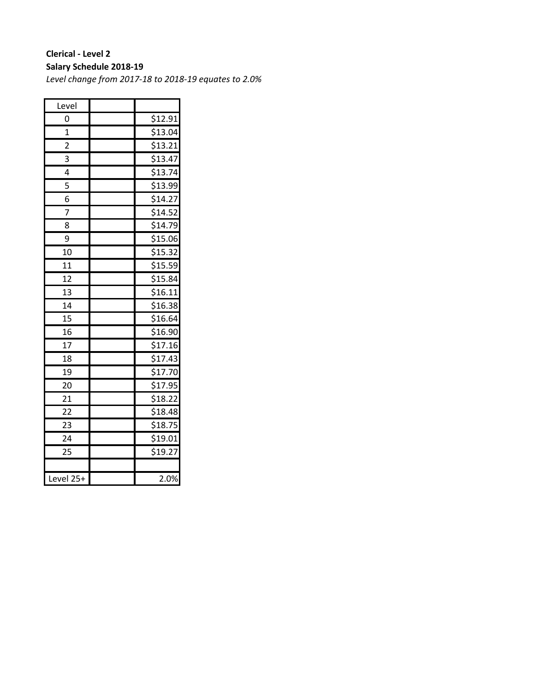### **Clerical ‐ Level 2 Salary Schedule 2018‐19**

| Level           |         |
|-----------------|---------|
| 0               | \$12.91 |
| $\mathbf{1}$    | \$13.04 |
| $\overline{2}$  | \$13.21 |
| 3               | \$13.47 |
| 4               | \$13.74 |
| 5               | \$13.99 |
| 6               | \$14.27 |
| 7               | \$14.52 |
| 8               | \$14.79 |
| 9               | \$15.06 |
| 10              | \$15.32 |
| 11              | \$15.59 |
| 12              | \$15.84 |
| 13              | \$16.11 |
| 14              | \$16.38 |
| 15              | \$16.64 |
| 16              | \$16.90 |
| $\overline{17}$ | \$17.16 |
| 18              | \$17.43 |
| 19              | \$17.70 |
| 20              | \$17.95 |
| 21              | \$18.22 |
| $\overline{22}$ | \$18.48 |
| 23              | \$18.75 |
| 24              | \$19.01 |
| 25              | \$19.27 |
|                 |         |
| Level 25+       | 2.0%    |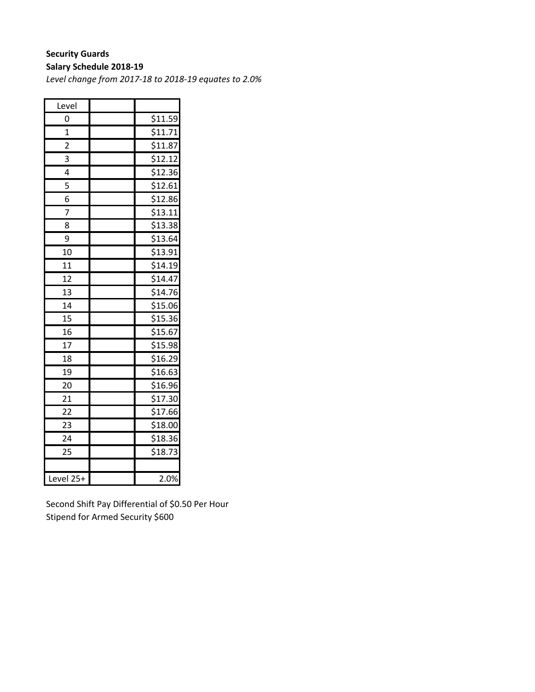# **Security Guards**

**Salary Schedule 2018‐19**

*Level change from 2017‐18 to 2018‐19 equates to 2.0%*

| Level                   |                     |
|-------------------------|---------------------|
| 0                       | \$11.59             |
| $\overline{1}$          | \$11.71             |
| $\overline{\mathbf{c}}$ | \$11.87             |
| 3                       | $\overline{$}12.12$ |
| 4                       | \$12.36             |
| 5                       | \$12.61             |
| 6                       | \$12.86             |
| 7                       | \$13.11             |
| 8                       | \$13.38             |
| 9                       | \$13.64             |
| 10                      | \$13.91             |
| 11                      | \$14.19             |
| 12                      | \$14.47             |
| 13                      | \$14.76             |
| 14                      | \$15.06             |
| 15                      | \$15.36             |
| 16                      | \$15.67             |
| $\overline{17}$         | \$15.98             |
| 18                      | \$16.29             |
| 19                      | \$16.63             |
| 20                      | \$16.96             |
| 21                      | \$17.30             |
| 22                      | \$17.66             |
| 23                      | \$18.00             |
| 24                      | \$18.36             |
| 25                      | \$18.73             |
|                         |                     |
| Level 25+               | 2.0%                |

Second Shift Pay Differential of \$0.50 Per Hour Stipend for Armed Security \$600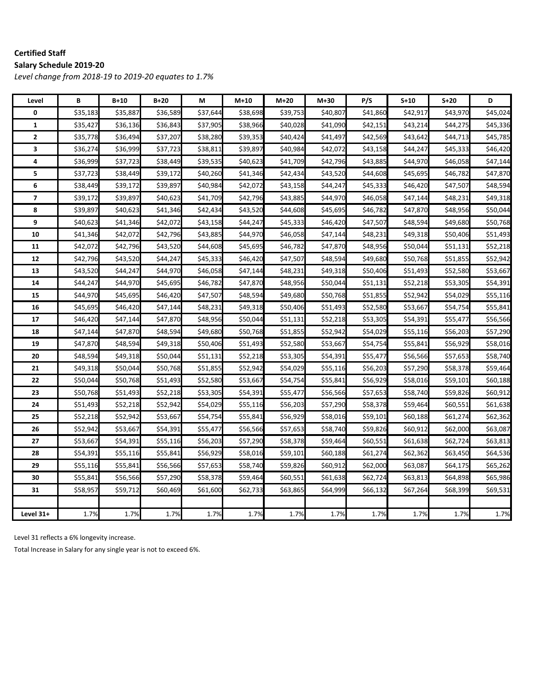#### **Certified Staff Salary Schedule 2019‐20**

*Level change from 2018‐19 to 2019‐20 equates to 1.7%*

| Level        | В        | $B+10$   | $B+20$   | М        | $M+10$   | M+20     | $M+30$   | P/S      | $S+10$   | $S+20$   | D        |
|--------------|----------|----------|----------|----------|----------|----------|----------|----------|----------|----------|----------|
| 0            | \$35,183 | \$35,887 | \$36,589 | \$37,644 | \$38,698 | \$39,753 | \$40,807 | \$41,860 | \$42,917 | \$43,970 | \$45,024 |
| $\mathbf{1}$ | \$35,427 | \$36,136 | \$36,843 | \$37,905 | \$38,966 | \$40,028 | \$41,090 | \$42,151 | \$43,214 | \$44,275 | \$45,336 |
| $\mathbf{2}$ | \$35,778 | \$36,494 | \$37,207 | \$38,280 | \$39,353 | \$40,424 | \$41,497 | \$42,569 | \$43,642 | \$44,713 | \$45,785 |
| 3            | \$36,274 | \$36,999 | \$37,723 | \$38,811 | \$39,897 | \$40,984 | \$42,072 | \$43,158 | \$44,247 | \$45,333 | \$46,420 |
| 4            | \$36,999 | \$37,723 | \$38,449 | \$39,535 | \$40,623 | \$41,709 | \$42,796 | \$43,885 | \$44,970 | \$46,058 | \$47,144 |
| 5            | \$37,723 | \$38,449 | \$39,172 | \$40,260 | \$41,346 | \$42,434 | \$43,520 | \$44,608 | \$45,695 | \$46,782 | \$47,870 |
| 6            | \$38,449 | \$39,172 | \$39,897 | \$40,984 | \$42,072 | \$43,158 | \$44,247 | \$45,333 | \$46,420 | \$47,507 | \$48,594 |
| 7            | \$39,172 | \$39,897 | \$40,623 | \$41,709 | \$42,796 | \$43,885 | \$44,970 | \$46,058 | \$47,144 | \$48,231 | \$49,318 |
| 8            | \$39,897 | \$40,623 | \$41,346 | \$42,434 | \$43,520 | \$44,608 | \$45,695 | \$46,782 | \$47,870 | \$48,956 | \$50,044 |
| 9            | \$40,623 | \$41,346 | \$42,072 | \$43,158 | \$44,247 | \$45,333 | \$46,420 | \$47,507 | \$48,594 | \$49,680 | \$50,768 |
| 10           | \$41,346 | \$42,072 | \$42,796 | \$43,885 | \$44,970 | \$46,058 | \$47,144 | \$48,231 | \$49,318 | \$50,406 | \$51,493 |
| 11           | \$42,072 | \$42,796 | \$43,520 | \$44,608 | \$45,695 | \$46,782 | \$47,870 | \$48,956 | \$50,044 | \$51,131 | \$52,218 |
| 12           | \$42,796 | \$43,520 | \$44,247 | \$45,333 | \$46,420 | \$47,507 | \$48,594 | \$49,680 | \$50,768 | \$51,855 | \$52,942 |
| 13           | \$43,520 | \$44,247 | \$44,970 | \$46,058 | \$47,144 | \$48,231 | \$49,318 | \$50,406 | \$51,493 | \$52,580 | \$53,667 |
| 14           | \$44,247 | \$44,970 | \$45,695 | \$46,782 | \$47,870 | \$48,956 | \$50,044 | \$51,131 | \$52,218 | \$53,305 | \$54,391 |
| 15           | \$44,970 | \$45,695 | \$46,420 | \$47,507 | \$48,594 | \$49,680 | \$50,768 | \$51,855 | \$52,942 | \$54,029 | \$55,116 |
| 16           | \$45,695 | \$46,420 | \$47,144 | \$48,231 | \$49,318 | \$50,406 | \$51,493 | \$52,580 | \$53,667 | \$54,754 | \$55,841 |
| 17           | \$46,420 | \$47,144 | \$47,870 | \$48,956 | \$50,044 | \$51,131 | \$52,218 | \$53,305 | \$54,391 | \$55,477 | \$56,566 |
| 18           | \$47,144 | \$47,870 | \$48,594 | \$49,680 | \$50,768 | \$51,855 | \$52,942 | \$54,029 | \$55,116 | \$56,203 | \$57,290 |
| 19           | \$47,870 | \$48,594 | \$49,318 | \$50,406 | \$51,493 | \$52,580 | \$53,667 | \$54,754 | \$55,841 | \$56,929 | \$58,016 |
| 20           | \$48,594 | \$49,318 | \$50,044 | \$51,131 | \$52,218 | \$53,305 | \$54,391 | \$55,477 | \$56,566 | \$57,653 | \$58,740 |
| 21           | \$49,318 | \$50,044 | \$50,768 | \$51,855 | \$52,942 | \$54,029 | \$55,116 | \$56,203 | \$57,290 | \$58,378 | \$59,464 |
| 22           | \$50,044 | \$50,768 | \$51,493 | \$52,580 | \$53,667 | \$54,754 | \$55,841 | \$56,929 | \$58,016 | \$59,101 | \$60,188 |
| 23           | \$50,768 | \$51,493 | \$52,218 | \$53,305 | \$54,391 | \$55,477 | \$56,566 | \$57,653 | \$58,740 | \$59,826 | \$60,912 |
| 24           | \$51,493 | \$52,218 | \$52,942 | \$54,029 | \$55,116 | \$56,203 | \$57,290 | \$58,378 | \$59,464 | \$60,551 | \$61,638 |
| 25           | \$52,218 | \$52,942 | \$53,667 | \$54,754 | \$55,841 | \$56,929 | \$58,016 | \$59,101 | \$60,188 | \$61,274 | \$62,362 |
| 26           | \$52,942 | \$53,667 | \$54,391 | \$55,477 | \$56,566 | \$57,653 | \$58,740 | \$59,826 | \$60,912 | \$62,000 | \$63,087 |
| 27           | \$53,667 | \$54,391 | \$55,116 | \$56,203 | \$57,290 | \$58,378 | \$59,464 | \$60,551 | \$61,638 | \$62,724 | \$63,813 |
| 28           | \$54,391 | \$55,116 | \$55,841 | \$56,929 | \$58,016 | \$59,101 | \$60,188 | \$61,274 | \$62,362 | \$63,450 | \$64,536 |
| 29           | \$55,116 | \$55,841 | \$56,566 | \$57,653 | \$58,740 | \$59,826 | \$60,912 | \$62,000 | \$63,087 | \$64,175 | \$65,262 |
| 30           | \$55,841 | \$56,566 | \$57,290 | \$58,378 | \$59,464 | \$60,551 | \$61,638 | \$62,724 | \$63,813 | \$64,898 | \$65,986 |
| 31           | \$58,957 | \$59,712 | \$60,469 | \$61,600 | \$62,733 | \$63,865 | \$64,999 | \$66,132 | \$67,264 | \$68,399 | \$69,531 |
|              |          |          |          |          |          |          |          |          |          |          |          |
| Level 31+    | 1.7%     | 1.7%     | 1.7%     | 1.7%     | 1.7%     | 1.7%     | 1.7%     | 1.7%     | 1.7%     | 1.7%     | 1.7%     |

Level 31 reflects a 6% longevity increase.

Total Increase in Salary for any single year is not to exceed 6%.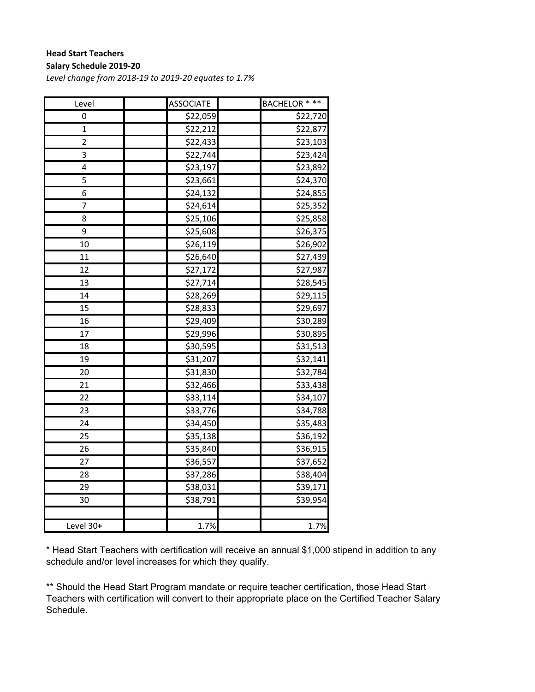#### **Head Start Teachers Salary Schedule 2019‐20**

*Level change from 2018‐19 to 2019‐20 equates to 1.7%*

| Level                   | <b>ASSOCIATE</b> | <b>BACHELOR * **</b> |
|-------------------------|------------------|----------------------|
| 0                       | \$22,059         | \$22,720             |
| $\mathbf 1$             | \$22,212         | \$22,877             |
| $\overline{\mathbf{c}}$ | \$22,433         | \$23,103             |
| 3                       | \$22,744         | \$23,424             |
| 4                       | \$23,197         | \$23,892             |
| 5                       | \$23,661         | \$24,370             |
| 6                       | \$24,132         | \$24,855             |
| 7                       | \$24,614         | \$25,352             |
| 8                       | \$25,106         | \$25,858             |
| 9                       | \$25,608         | \$26,375             |
| 10                      | \$26,119         | \$26,902             |
| 11                      | \$26,640         | \$27,439             |
| 12                      | \$27,172         | \$27,987             |
| 13                      | \$27,714         | \$28,545             |
| 14                      | \$28,269         | \$29,115             |
| 15                      | \$28,833         | \$29,697             |
| 16                      | \$29,409         | \$30,289             |
| 17                      | \$29,996         | \$30,895             |
| 18                      | \$30,595         | \$31,513             |
| 19                      | \$31,207         | \$32,141             |
| 20                      | \$31,830         | \$32,784             |
| 21                      | \$32,466         | $\overline{$}33,438$ |
| 22                      | \$33,114         | \$34,107             |
| 23                      | \$33,776         | \$34,788             |
| 24                      | \$34,450         | \$35,483             |
| 25                      | \$35,138         | \$36,192             |
| 26                      | \$35,840         | \$36,915             |
| 27                      | \$36,557         | \$37,652             |
| 28                      | \$37,286         | \$38,404             |
| 29                      | \$38,031         | \$39,171             |
| 30                      | \$38,791         | \$39,954             |
|                         |                  |                      |
| Level 30+               | 1.7%             | 1.7%                 |

\* Head Start Teachers with certification will receive an annual \$1,000 stipend in addition to any schedule and/or level increases for which they qualify.

\*\* Should the Head Start Program mandate or require teacher certification, those Head Start Teachers with certification will convert to their appropriate place on the Certified Teacher Salary Schedule.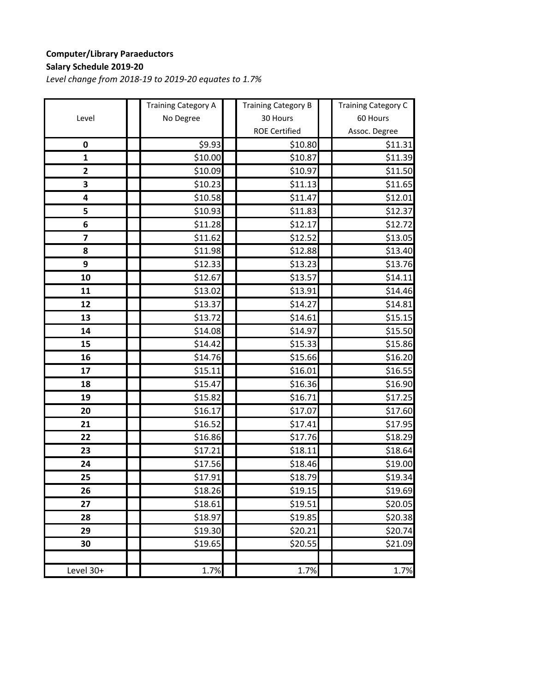## **Computer/Library Paraeductors Salary Schedule 2019‐20**

|                         | <b>Training Category A</b> | <b>Training Category B</b> | <b>Training Category C</b> |
|-------------------------|----------------------------|----------------------------|----------------------------|
| Level                   | No Degree                  | 30 Hours                   | 60 Hours                   |
|                         |                            | <b>ROE Certified</b>       | Assoc. Degree              |
| $\pmb{0}$               | \$9.93                     | \$10.80                    | \$11.31                    |
| $\mathbf{1}$            | \$10.00                    | \$10.87                    | \$11.39                    |
| $\overline{\mathbf{c}}$ | \$10.09                    | \$10.97                    | \$11.50                    |
| 3                       | \$10.23                    | \$11.13                    | \$11.65                    |
| 4                       | \$10.58                    | \$11.47                    | \$12.01                    |
| 5                       | \$10.93                    | \$11.83                    | \$12.37                    |
| 6                       | \$11.28                    | \$12.17                    | \$12.72                    |
| $\overline{\mathbf{z}}$ | \$11.62                    | \$12.52                    | \$13.05                    |
| 8                       | \$11.98                    | \$12.88                    | \$13.40                    |
| 9                       | \$12.33                    | \$13.23                    | \$13.76                    |
| 10                      | \$12.67                    | \$13.57                    | \$14.11                    |
| 11                      | \$13.02                    | \$13.91                    | \$14.46                    |
| 12                      | \$13.37                    | \$14.27                    | \$14.81                    |
| 13                      | \$13.72                    | \$14.61                    | \$15.15                    |
| 14                      | \$14.08                    | \$14.97                    | \$15.50                    |
| 15                      | \$14.42                    | \$15.33                    | \$15.86                    |
| 16                      | \$14.76                    | \$15.66                    | \$16.20                    |
| 17                      | \$15.11                    | \$16.01                    | \$16.55                    |
| 18                      | \$15.47                    | \$16.36                    | \$16.90                    |
| 19                      | \$15.82                    | \$16.71                    | \$17.25                    |
| 20                      | \$16.17                    | \$17.07                    | \$17.60                    |
| 21                      | \$16.52                    | \$17.41                    | \$17.95                    |
| 22                      | \$16.86                    | \$17.76                    | \$18.29                    |
| 23                      | \$17.21                    | \$18.11                    | \$18.64                    |
| 24                      | \$17.56                    | \$18.46                    | \$19.00                    |
| 25                      | \$17.91                    | \$18.79                    | \$19.34                    |
| 26                      | \$18.26                    | \$19.15                    | \$19.69                    |
| 27                      | \$18.61                    | \$19.51                    | \$20.05                    |
| 28                      | \$18.97                    | \$19.85                    | \$20.38                    |
| 29                      | \$19.30                    | \$20.21                    | \$20.74                    |
| 30                      | \$19.65                    | \$20.55                    | \$21.09                    |
|                         |                            |                            |                            |
| Level 30+               | 1.7%                       | 1.7%                       | 1.7%                       |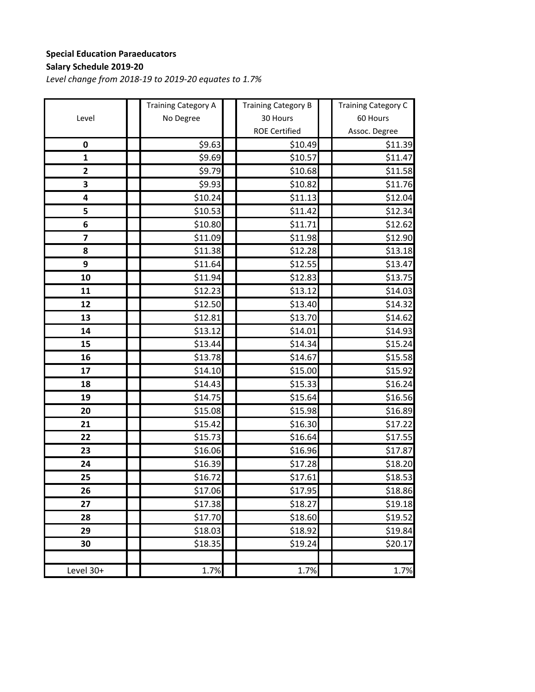## **Special Education Paraeducators Salary Schedule 2019‐20**

|                         | <b>Training Category A</b> | <b>Training Category B</b> | <b>Training Category C</b> |
|-------------------------|----------------------------|----------------------------|----------------------------|
| Level                   | No Degree                  | 30 Hours                   | 60 Hours                   |
|                         |                            | <b>ROE Certified</b>       | Assoc. Degree              |
| $\pmb{0}$               | \$9.63                     | \$10.49                    | \$11.39                    |
| $\mathbf{1}$            | \$9.69                     | \$10.57                    | \$11.47                    |
| $\overline{\mathbf{c}}$ | \$9.79                     | \$10.68                    | \$11.58                    |
| 3                       | \$9.93                     | \$10.82                    | \$11.76                    |
| 4                       | \$10.24                    | \$11.13                    | \$12.04                    |
| 5                       | \$10.53                    | \$11.42                    | \$12.34                    |
| 6                       | \$10.80                    | \$11.71                    | \$12.62                    |
| $\overline{\mathbf{z}}$ | \$11.09                    | \$11.98                    | \$12.90                    |
| 8                       | \$11.38                    | \$12.28                    | \$13.18                    |
| 9                       | \$11.64                    | \$12.55                    | \$13.47                    |
| 10                      | \$11.94                    | \$12.83                    | \$13.75                    |
| 11                      | \$12.23                    | \$13.12                    | \$14.03                    |
| 12                      | \$12.50                    | \$13.40                    | \$14.32                    |
| 13                      | \$12.81                    | \$13.70                    | \$14.62                    |
| 14                      | \$13.12                    | \$14.01                    | \$14.93                    |
| 15                      | \$13.44                    | \$14.34                    | \$15.24                    |
| 16                      | \$13.78                    | \$14.67                    | \$15.58                    |
| 17                      | \$14.10                    | \$15.00                    | \$15.92                    |
| 18                      | \$14.43                    | \$15.33                    | \$16.24                    |
| 19                      | \$14.75                    | \$15.64                    | \$16.56                    |
| 20                      | \$15.08                    | \$15.98                    | \$16.89                    |
| 21                      | \$15.42                    | \$16.30                    | \$17.22                    |
| 22                      | \$15.73                    | \$16.64                    | \$17.55                    |
| 23                      | \$16.06                    | \$16.96                    | \$17.87                    |
| 24                      | \$16.39                    | \$17.28                    | \$18.20                    |
| 25                      | \$16.72                    | \$17.61                    | \$18.53                    |
| 26                      | \$17.06                    | \$17.95                    | \$18.86                    |
| 27                      | \$17.38                    | \$18.27                    | \$19.18                    |
| 28                      | \$17.70                    | \$18.60                    | \$19.52                    |
| 29                      | \$18.03                    | \$18.92                    | \$19.84                    |
| 30                      | \$18.35                    | \$19.24                    | \$20.17                    |
|                         |                            |                            |                            |
| Level 30+               | 1.7%                       | 1.7%                       | 1.7%                       |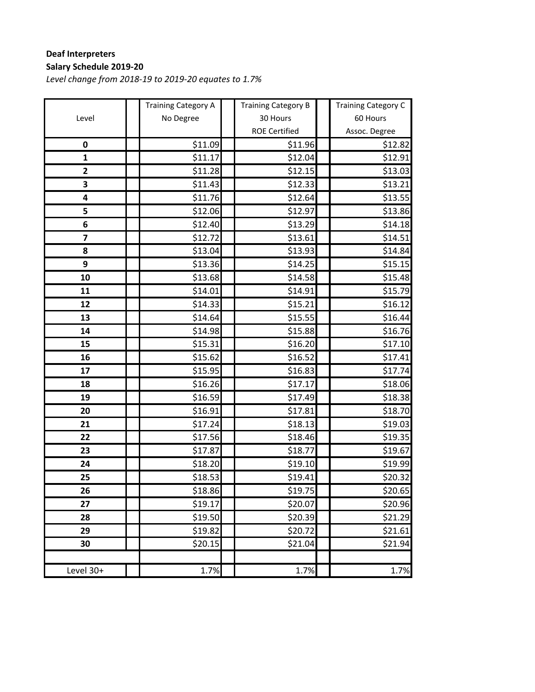## **Deaf Interpreters Salary Schedule 2019‐20**

|                         | <b>Training Category A</b> | <b>Training Category B</b> | <b>Training Category C</b> |
|-------------------------|----------------------------|----------------------------|----------------------------|
| Level                   | No Degree                  | 30 Hours                   | 60 Hours                   |
|                         |                            | <b>ROE Certified</b>       | Assoc. Degree              |
| $\pmb{0}$               | \$11.09                    | \$11.96                    | \$12.82                    |
| $\mathbf{1}$            | \$11.17                    | \$12.04                    | \$12.91                    |
| $\mathbf{2}$            | \$11.28                    | \$12.15                    | \$13.03                    |
| 3                       | \$11.43                    | \$12.33                    | \$13.21                    |
| 4                       | \$11.76                    | \$12.64                    | \$13.55                    |
| 5                       | \$12.06                    | \$12.97                    | \$13.86                    |
| 6                       | \$12.40                    | \$13.29                    | \$14.18                    |
| $\overline{\mathbf{z}}$ | \$12.72                    | \$13.61                    | \$14.51                    |
| 8                       | \$13.04                    | \$13.93                    | \$14.84                    |
| 9                       | \$13.36                    | \$14.25                    | \$15.15                    |
| 10                      | \$13.68                    | \$14.58                    | \$15.48                    |
| 11                      | \$14.01                    | \$14.91                    | \$15.79                    |
| 12                      | \$14.33                    | \$15.21                    | \$16.12                    |
| 13                      | \$14.64                    | \$15.55                    | \$16.44                    |
| 14                      | \$14.98                    | \$15.88                    | \$16.76                    |
| 15                      | \$15.31                    | \$16.20                    | \$17.10                    |
| 16                      | \$15.62                    | \$16.52                    | \$17.41                    |
| 17                      | \$15.95                    | \$16.83                    | \$17.74                    |
| 18                      | \$16.26                    | \$17.17                    | \$18.06                    |
| 19                      | \$16.59                    | \$17.49                    | \$18.38                    |
| 20                      | \$16.91                    | \$17.81                    | \$18.70                    |
| 21                      | \$17.24                    | \$18.13                    | \$19.03                    |
| 22                      | \$17.56                    | \$18.46                    | \$19.35                    |
| 23                      | \$17.87                    | \$18.77                    | \$19.67                    |
| 24                      | \$18.20                    | \$19.10                    | \$19.99                    |
| 25                      | \$18.53                    | \$19.41                    | \$20.32                    |
| 26                      | \$18.86                    | \$19.75                    | \$20.65                    |
| 27                      | \$19.17                    | \$20.07                    | \$20.96                    |
| 28                      | \$19.50                    | \$20.39                    | \$21.29                    |
| 29                      | \$19.82                    | \$20.72                    | \$21.61                    |
| 30                      | \$20.15                    | \$21.04                    | \$21.94                    |
|                         |                            |                            |                            |
| Level 30+               | 1.7%                       | 1.7%                       | 1.7%                       |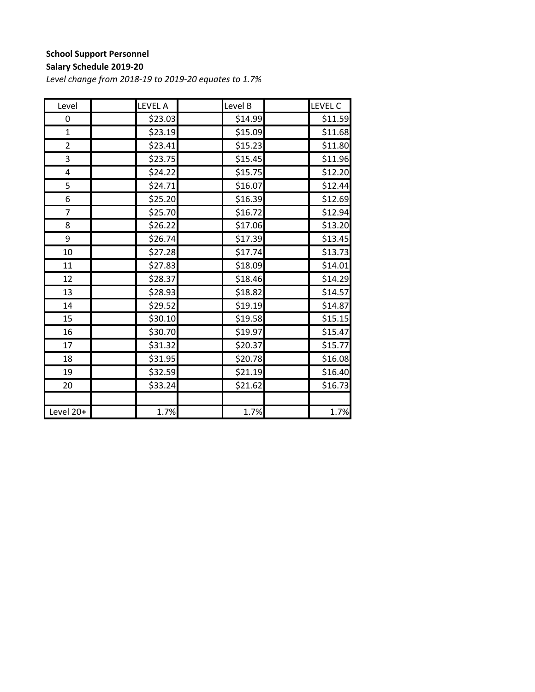## **School Support Personnel**

#### **Salary Schedule 2019‐20**

| Level          | <b>LEVEL A</b> | Level B | <b>LEVEL C</b> |
|----------------|----------------|---------|----------------|
| 0              | \$23.03        | \$14.99 | \$11.59        |
| $\overline{1}$ | \$23.19        | \$15.09 | \$11.68        |
| $\overline{2}$ | \$23.41        | \$15.23 | \$11.80        |
| 3              | \$23.75        | \$15.45 | \$11.96        |
| 4              | \$24.22        | \$15.75 | \$12.20        |
| 5              | \$24.71        | \$16.07 | \$12.44        |
| 6              | \$25.20        | \$16.39 | \$12.69        |
| 7              | \$25.70        | \$16.72 | \$12.94        |
| 8              | \$26.22        | \$17.06 | \$13.20        |
| 9              | \$26.74        | \$17.39 | \$13.45        |
| 10             | \$27.28        | \$17.74 | \$13.73        |
| 11             | \$27.83        | \$18.09 | \$14.01        |
| 12             | \$28.37        | \$18.46 | \$14.29        |
| 13             | \$28.93        | \$18.82 | \$14.57        |
| 14             | \$29.52        | \$19.19 | \$14.87        |
| 15             | \$30.10        | \$19.58 | \$15.15        |
| 16             | \$30.70        | \$19.97 | \$15.47        |
| 17             | \$31.32        | \$20.37 | \$15.77        |
| 18             | \$31.95        | \$20.78 | \$16.08        |
| 19             | \$32.59        | \$21.19 | \$16.40        |
| 20             | \$33.24        | \$21.62 | \$16.73        |
|                |                |         |                |
| Level 20+      | 1.7%           | 1.7%    | 1.7%           |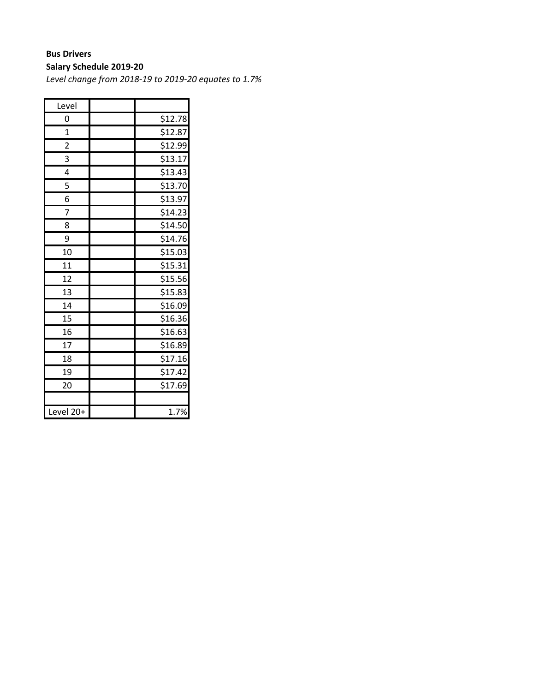## **Bus Drivers**

## **Salary Schedule 2019‐20**

| Level     |         |
|-----------|---------|
| 0         | \$12.78 |
| 1         | \$12.87 |
| 2         | \$12.99 |
| 3         | \$13.17 |
| 4         | \$13.43 |
| 5         | \$13.70 |
| 6         | \$13.97 |
| 7         | \$14.23 |
| 8         | \$14.50 |
| 9         | \$14.76 |
| 10        | \$15.03 |
| 11        | \$15.31 |
| 12        | \$15.56 |
| 13        | \$15.83 |
| 14        | \$16.09 |
| 15        | \$16.36 |
| 16        | \$16.63 |
| 17        | \$16.89 |
| 18        | \$17.16 |
| 19        | \$17.42 |
| 20        | \$17.69 |
|           |         |
| Level 20+ | 1.7%    |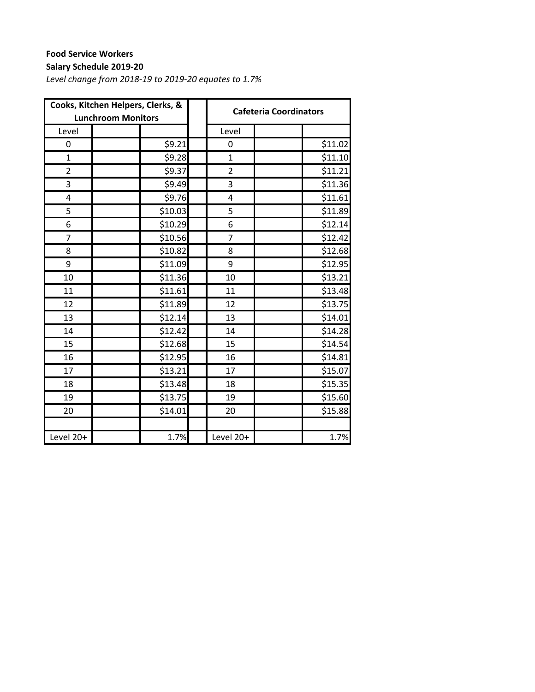## **Food Service Workers**

## **Salary Schedule 2019‐20**

|                | Cooks, Kitchen Helpers, Clerks, &<br><b>Lunchroom Monitors</b> | <b>Cafeteria Coordinators</b> |                |  |         |
|----------------|----------------------------------------------------------------|-------------------------------|----------------|--|---------|
| Level          |                                                                |                               | Level          |  |         |
| 0              | \$9.21                                                         |                               | 0              |  | \$11.02 |
| $\mathbf{1}$   | \$9.28                                                         |                               | $\overline{1}$ |  | \$11.10 |
| $\overline{2}$ | \$9.37                                                         |                               | $\overline{2}$ |  | \$11.21 |
| 3              | \$9.49                                                         |                               | 3              |  | \$11.36 |
| 4              | \$9.76                                                         |                               | 4              |  | \$11.61 |
| 5              | \$10.03                                                        |                               | 5              |  | \$11.89 |
| 6              | \$10.29                                                        |                               | 6              |  | \$12.14 |
| $\overline{7}$ | \$10.56                                                        |                               | $\overline{7}$ |  | \$12.42 |
| 8              | \$10.82                                                        |                               | 8              |  | \$12.68 |
| 9              | \$11.09                                                        |                               | 9              |  | \$12.95 |
| 10             | \$11.36                                                        |                               | 10             |  | \$13.21 |
| 11             | \$11.61                                                        |                               | 11             |  | \$13.48 |
| 12             | \$11.89                                                        |                               | 12             |  | \$13.75 |
| 13             | \$12.14                                                        |                               | 13             |  | \$14.01 |
| 14             | \$12.42                                                        |                               | 14             |  | \$14.28 |
| 15             | \$12.68                                                        |                               | 15             |  | \$14.54 |
| 16             | \$12.95                                                        |                               | 16             |  | \$14.81 |
| 17             | \$13.21                                                        |                               | 17             |  | \$15.07 |
| 18             | \$13.48                                                        |                               | 18             |  | \$15.35 |
| 19             | \$13.75                                                        |                               | 19             |  | \$15.60 |
| 20             | \$14.01                                                        |                               | 20             |  | \$15.88 |
|                |                                                                |                               |                |  |         |
| Level 20+      | 1.7%                                                           |                               | Level 20+      |  | 1.7%    |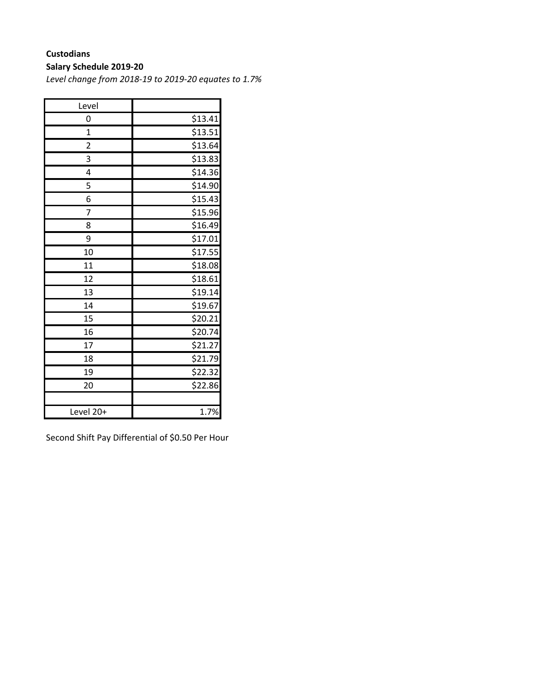### **Custodians**

#### **Salary Schedule 2019‐20**

*Level change from 2018‐19 to 2019‐20 equates to 1.7%*

| Level          |                     |
|----------------|---------------------|
| 0              | \$13.41             |
| $\overline{1}$ | \$13.51             |
| $\overline{c}$ | \$13.64             |
| 3              | \$13.83             |
| 4              | \$14.36             |
| 5              | \$14.90             |
| 6              | \$15.43             |
| 7              | \$15.96             |
| 8              | \$16.49             |
| 9              | \$17.01             |
| 10             | \$17.55             |
| 11             | \$18.08             |
| 12             | \$18.61             |
| 13             | \$19.14             |
| 14             | \$19.67             |
| 15             | \$20.21             |
| 16             | $\frac{1}{2}$ 20.74 |
| 17             | \$21.27             |
| 18             | \$21.79             |
| 19             | \$22.32             |
| 20             | \$22.86             |
|                |                     |
| Level 20+      | 1.7%                |

Second Shift Pay Differential of \$0.50 Per Hour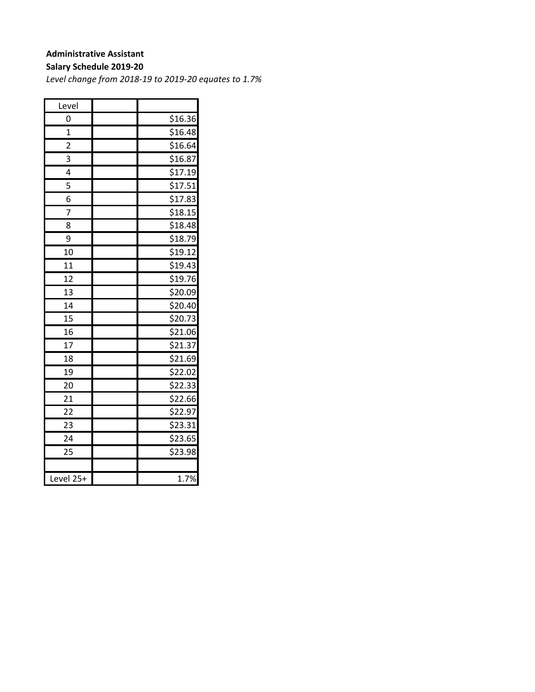#### **Administrative Assistant**

#### **Salary Schedule 2019‐20**

| Level          |         |
|----------------|---------|
| 0              | \$16.36 |
| $\mathbf{1}$   | \$16.48 |
| $\overline{2}$ | \$16.64 |
| 3              | \$16.87 |
| 4              | \$17.19 |
| 5              | \$17.51 |
| 6              | \$17.83 |
| 7              | \$18.15 |
| 8              | \$18.48 |
| 9              | \$18.79 |
| 10             | \$19.12 |
| 11             | \$19.43 |
| 12             | \$19.76 |
| 13             | \$20.09 |
| 14             | \$20.40 |
| 15             | \$20.73 |
| 16             | \$21.06 |
| 17             | \$21.37 |
| 18             | \$21.69 |
| 19             | \$22.02 |
| 20             | \$22.33 |
| 21             | \$22.66 |
| 22             | \$22.97 |
| 23             | \$23.31 |
| 24             | \$23.65 |
| 25             | \$23.98 |
|                |         |
| Level 25+      | 1.7%    |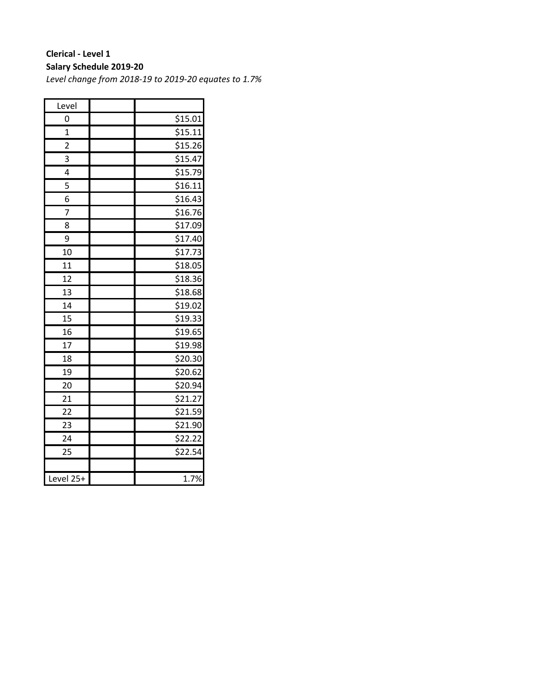### **Clerical ‐ Level 1 Salary Schedule 2019‐20**

| Level                   |         |
|-------------------------|---------|
| 0                       | \$15.01 |
| $\overline{1}$          | \$15.11 |
| $\overline{\mathbf{c}}$ | \$15.26 |
| 3                       | \$15.47 |
| 4                       | \$15.79 |
| 5                       | \$16.11 |
| 6                       | \$16.43 |
| 7                       | \$16.76 |
| 8                       | \$17.09 |
| 9                       | \$17.40 |
| 10                      | \$17.73 |
| 11                      | \$18.05 |
| 12                      | \$18.36 |
| 13                      | \$18.68 |
| 14                      | \$19.02 |
| 15                      | \$19.33 |
| 16                      | \$19.65 |
| 17                      | \$19.98 |
| 18                      | \$20.30 |
| 19                      | \$20.62 |
| 20                      | \$20.94 |
| 21                      | \$21.27 |
| $\overline{22}$         | \$21.59 |
| 23                      | \$21.90 |
| 24                      | \$22.22 |
| 25                      | \$22.54 |
|                         |         |
| Level 25+               | 1.7%    |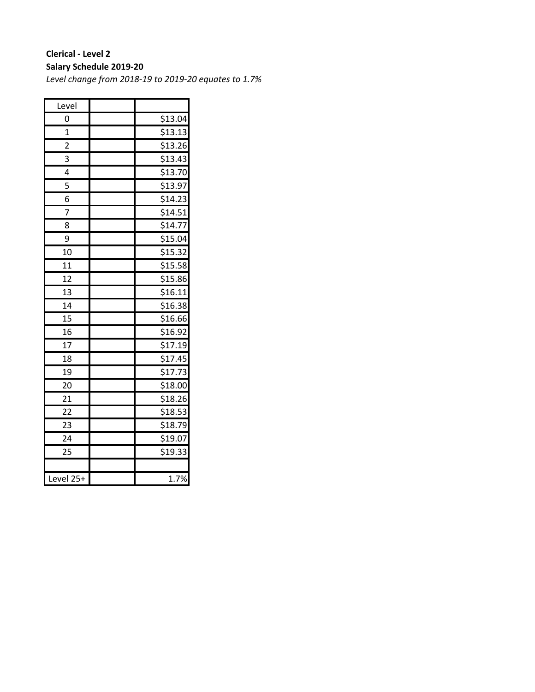### **Clerical ‐ Level 2 Salary Schedule 2019‐20**

| Level           |                     |
|-----------------|---------------------|
| 0               | \$13.04             |
| $\overline{1}$  | \$13.13             |
| 2               | \$13.26             |
| 3               | \$13.43             |
| 4               | \$13.70             |
| 5               | \$13.97             |
| 6               | \$14.23             |
| 7               | \$14.51             |
| 8               | \$14.77             |
| 9               | \$15.04             |
| 10              | \$15.32             |
| 11              | \$15.58             |
| 12              | \$15.86             |
| 13              | \$16.11             |
| 14              | \$16.38             |
| 15              | \$16.66             |
| 16              | \$16.92             |
| $\overline{17}$ | \$17.19             |
| 18              | \$17.45             |
| 19              | \$17.73             |
| 20              | $\overline{$}18.00$ |
| 21              | \$18.26             |
| $\overline{22}$ | \$18.53             |
| 23              | \$18.79             |
| 24              | \$19.07             |
| 25              | \$19.33             |
|                 |                     |
| Level 25+       | 1.7%                |